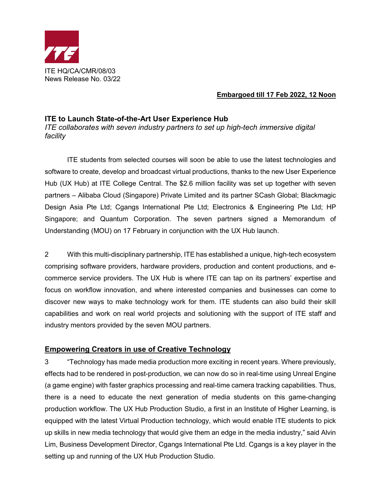

## **Embargoed till 17 Feb 2022, 12 Noon**

## **ITE to Launch State-of-the-Art User Experience Hub**

*ITE collaborates with seven industry partners to set up high-tech immersive digital facility*

ITE students from selected courses will soon be able to use the latest technologies and software to create, develop and broadcast virtual productions, thanks to the new User Experience Hub (UX Hub) at ITE College Central. The \$2.6 million facility was set up together with seven partners – Alibaba Cloud (Singapore) Private Limited and its partner SCash Global; Blackmagic Design Asia Pte Ltd; Cgangs International Pte Ltd; Electronics & Engineering Pte Ltd; HP Singapore; and Quantum Corporation. The seven partners signed a Memorandum of Understanding (MOU) on 17 February in conjunction with the UX Hub launch.

2 With this multi-disciplinary partnership, ITE has established a unique, high-tech ecosystem comprising software providers, hardware providers, production and content productions, and ecommerce service providers. The UX Hub is where ITE can tap on its partners' expertise and focus on workflow innovation, and where interested companies and businesses can come to discover new ways to make technology work for them. ITE students can also build their skill capabilities and work on real world projects and solutioning with the support of ITE staff and industry mentors provided by the seven MOU partners.

## **Empowering Creators in use of Creative Technology**

3 "Technology has made media production more exciting in recent years. Where previously, effects had to be rendered in post-production, we can now do so in real-time using Unreal Engine (a game engine) with faster graphics processing and real-time camera tracking capabilities. Thus, there is a need to educate the next generation of media students on this game-changing production workflow. The UX Hub Production Studio, a first in an Institute of Higher Learning, is equipped with the latest Virtual Production technology, which would enable ITE students to pick up skills in new media technology that would give them an edge in the media industry," said Alvin Lim, Business Development Director, Cgangs International Pte Ltd. Cgangs is a key player in the setting up and running of the UX Hub Production Studio.